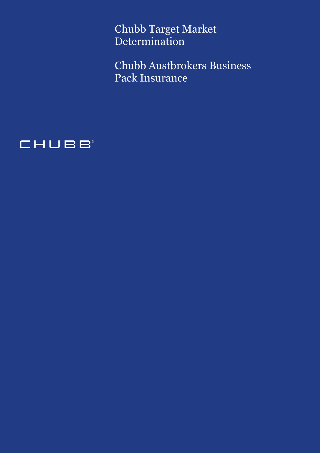Chubb Target Market Determination

Chubb Austbrokers Business Pack Insurance

# CHUBB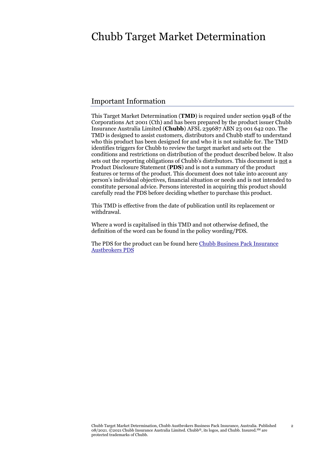## Chubb Target Market Determination

## Important Information

This Target Market Determination (**TMD**) is required under section 994B of the Corporations Act 2001 (Cth) and has been prepared by the product issuer Chubb Insurance Australia Limited (**Chubb**) AFSL 239687 ABN 23 001 642 020. The TMD is designed to assist customers, distributors and Chubb staff to understand who this product has been designed for and who it is not suitable for. The TMD identifies triggers for Chubb to review the target market and sets out the conditions and restrictions on distribution of the product described below. It also sets out the reporting obligations of Chubb's distributors. This document is not a Product Disclosure Statement (**PDS**) and is not a summary of the product features or terms of the product. This document does not take into account any person's individual objectives, financial situation or needs and is not intended to constitute personal advice. Persons interested in acquiring this product should carefully read the PDS before deciding whether to purchase this product.

This TMD is effective from the date of publication until its replacement or withdrawal.

Where a word is capitalised in this TMD and not otherwise defined, the definition of the word can be found in the policy wording/PDS.

The PDS for the product can be found her[e Chubb Business Pack Insurance](https://www.chubb.com/content/dam/chubb-sites/chubb-com/au-en/business/chubb-business-pack-insurance/Business_Pack_Policy_Austbrokers.pdf) [Austbrokers](https://www.chubb.com/content/dam/chubb-sites/chubb-com/au-en/business/chubb-business-pack-insurance/Business_Pack_Policy_Austbrokers.pdf) PDS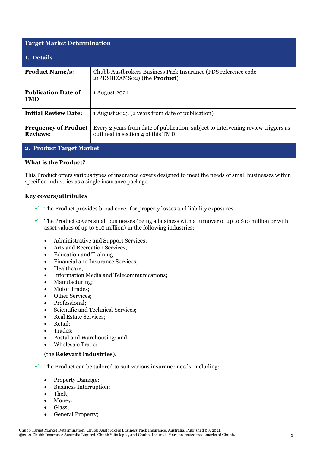| <b>Target Market Determination</b>             |                                                                                                                        |  |  |
|------------------------------------------------|------------------------------------------------------------------------------------------------------------------------|--|--|
| 1. Details                                     |                                                                                                                        |  |  |
| <b>Product Name/s:</b>                         | Chubb Austbrokers Business Pack Insurance (PDS reference code<br>21PDSBIZAMS02) (the <b>Product</b> )                  |  |  |
| <b>Publication Date of</b><br>TMD:             | 1 August 2021                                                                                                          |  |  |
| <b>Initial Review Date:</b>                    | 1 August 2023 (2 years from date of publication)                                                                       |  |  |
| <b>Frequency of Product</b><br><b>Reviews:</b> | Every 2 years from date of publication, subject to intervening review triggers as<br>outlined in section 4 of this TMD |  |  |

### **2. Product Target Market**

### **What is the Product?**

This Product offers various types of insurance covers designed to meet the needs of small businesses within specified industries as a single insurance package.

#### **Key covers/attributes**

- $\checkmark$  The Product provides broad cover for property losses and liability exposures.
- $\checkmark$  The Product covers small businesses (being a business with a turnover of up to \$10 million or with asset values of up to \$10 million) in the following industries:
	- Administrative and Support Services;
	- Arts and Recreation Services;
	- Education and Training;
	- Financial and Insurance Services;
	- Healthcare;
	- Information Media and Telecommunications;
	- Manufacturing;
	- Motor Trades;
	- Other Services;
	- Professional;
	- Scientific and Technical Services;
	- Real Estate Services;
	- Retail;
	- Trades:
	- Postal and Warehousing; and
	- Wholesale Trade;

#### (the **Relevant Industries**).

- $\checkmark$  The Product can be tailored to suit various insurance needs, including:
	- Property Damage;
	- Business Interruption;
	- Theft;
	- Money;
	- Glass;
	- General Property;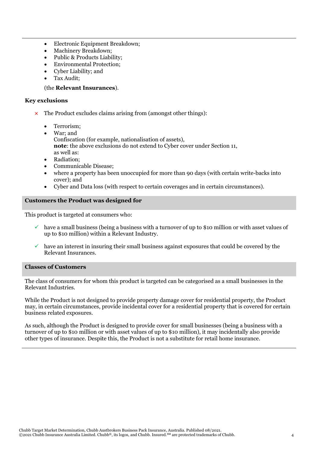- Electronic Equipment Breakdown;
- Machinery Breakdown;
- Public & Products Liability;
- Environmental Protection;
- Cyber Liability; and
- Tax Audit;

#### (the **Relevant Insurances**).

#### **Key exclusions**

- The Product excludes claims arising from (amongst other things):
	- Terrorism;
	- War; and Confiscation (for example, nationalisation of assets), **note**: the above exclusions do not extend to Cyber cover under Section 11, as well as:
	- Radiation;
	- Communicable Disease;
	- where a property has been unoccupied for more than 90 days (with certain write-backs into cover); and
	- Cyber and Data loss (with respect to certain coverages and in certain circumstances).

#### **Customers the Product was designed for**

This product is targeted at consumers who:

- $\checkmark$  have a small business (being a business with a turnover of up to \$10 million or with asset values of up to \$10 million) within a Relevant Industry.
- have an interest in insuring their small business against exposures that could be covered by the Relevant Insurances.

#### **Classes of Customers**

The class of consumers for whom this product is targeted can be categorised as a small businesses in the Relevant Industries.

While the Product is not designed to provide property damage cover for residential property, the Product may, in certain circumstances, provide incidental cover for a residential property that is covered for certain business related exposures.

As such, although the Product is designed to provide cover for small businesses (being a business with a turnover of up to \$10 million or with asset values of up to \$10 million), it may incidentally also provide other types of insurance. Despite this, the Product is not a substitute for retail home insurance.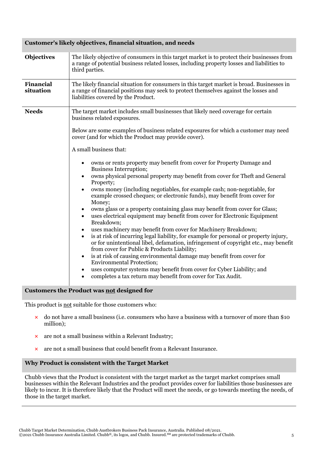#### **Customer's likely objectives, financial situation, and needs**

| <b>Objectives</b>                                 | The likely objective of consumers in this target market is to protect their businesses from<br>a range of potential business related losses, including property losses and liabilities to<br>third parties.                                                                                                                                                                                                                                                                                                                                                                                                                                                                                                                                                                                                                                                                                                                                                                                                                                                                                                                                                                                                                                                                                                                                                                                                                                                                                   |  |  |
|---------------------------------------------------|-----------------------------------------------------------------------------------------------------------------------------------------------------------------------------------------------------------------------------------------------------------------------------------------------------------------------------------------------------------------------------------------------------------------------------------------------------------------------------------------------------------------------------------------------------------------------------------------------------------------------------------------------------------------------------------------------------------------------------------------------------------------------------------------------------------------------------------------------------------------------------------------------------------------------------------------------------------------------------------------------------------------------------------------------------------------------------------------------------------------------------------------------------------------------------------------------------------------------------------------------------------------------------------------------------------------------------------------------------------------------------------------------------------------------------------------------------------------------------------------------|--|--|
| <b>Financial</b><br>situation                     | The likely financial situation for consumers in this target market is broad. Businesses in<br>a range of financial positions may seek to protect themselves against the losses and<br>liabilities covered by the Product.                                                                                                                                                                                                                                                                                                                                                                                                                                                                                                                                                                                                                                                                                                                                                                                                                                                                                                                                                                                                                                                                                                                                                                                                                                                                     |  |  |
| <b>Needs</b>                                      | The target market includes small businesses that likely need coverage for certain<br>business related exposures.<br>Below are some examples of business related exposures for which a customer may need<br>cover (and for which the Product may provide cover).<br>A small business that:<br>owns or rents property may benefit from cover for Property Damage and<br>٠<br>Business Interruption;<br>owns physical personal property may benefit from cover for Theft and General<br>$\bullet$<br>Property;<br>owns money (including negotiables, for example cash; non-negotiable, for<br>$\bullet$<br>example crossed cheques; or electronic funds), may benefit from cover for<br>Money;<br>owns glass or a property containing glass may benefit from cover for Glass;<br>$\bullet$<br>uses electrical equipment may benefit from cover for Electronic Equipment<br>Breakdown;<br>uses machinery may benefit from cover for Machinery Breakdown;<br>$\bullet$<br>is at risk of incurring legal liability, for example for personal or property injury,<br>$\bullet$<br>or for unintentional libel, defamation, infringement of copyright etc., may benefit<br>from cover for Public & Products Liability;<br>is at risk of causing environmental damage may benefit from cover for<br>$\bullet$<br><b>Environmental Protection;</b><br>uses computer systems may benefit from cover for Cyber Liability; and<br>$\bullet$<br>completes a tax return may benefit from cover for Tax Audit. |  |  |
| <b>Customers the Product was not designed for</b> |                                                                                                                                                                                                                                                                                                                                                                                                                                                                                                                                                                                                                                                                                                                                                                                                                                                                                                                                                                                                                                                                                                                                                                                                                                                                                                                                                                                                                                                                                               |  |  |

This product is not suitable for those customers who:

- **×** do not have a small business (i.e. consumers who have a business with a turnover of more than \$10 million);
- **×** are not a small business within a Relevant Industry;
- **×** are not a small business that could benefit from a Relevant Insurance.

## **Why Product is consistent with the Target Market**

Chubb views that the Product is consistent with the target market as the target market comprises small businesses within the Relevant Industries and the product provides cover for liabilities those businesses are likely to incur. It is therefore likely that the Product will meet the needs, or go towards meeting the needs, of those in the target market*.*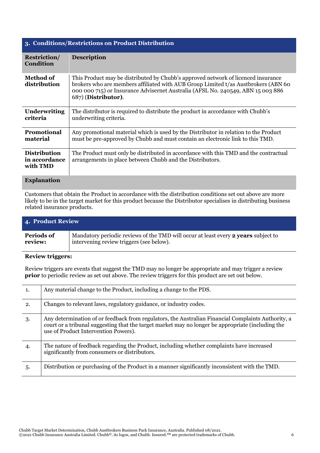| 3. Conditions/Restrictions on Product Distribution |                                                                                                                                                                                                                                                                                    |  |  |
|----------------------------------------------------|------------------------------------------------------------------------------------------------------------------------------------------------------------------------------------------------------------------------------------------------------------------------------------|--|--|
| <b>Restriction/</b><br><b>Condition</b>            | <b>Description</b>                                                                                                                                                                                                                                                                 |  |  |
| <b>Method of</b><br>distribution                   | This Product may be distributed by Chubb's approved network of licenced insurance<br>brokers who are members affiliated with AUB Group Limited t/as Austbrokers (ABN 60)<br>000 000 715) or Insurance Advisernet Australia (AFSL No. 240549, ABN 15 003 886<br>687) (Distributor). |  |  |
| <b>Underwriting</b><br>criteria                    | The distributor is required to distribute the product in accordance with Chubb's<br>underwriting criteria.                                                                                                                                                                         |  |  |
| <b>Promotional</b><br>material                     | Any promotional material which is used by the Distributor in relation to the Product<br>must be pre-approved by Chubb and must contain an electronic link to this TMD.                                                                                                             |  |  |
| <b>Distribution</b><br>in accordance<br>with TMD   | The Product must only be distributed in accordance with this TMD and the contractual<br>arrangements in place between Chubb and the Distributors.                                                                                                                                  |  |  |
| <b>Explanation</b>                                 |                                                                                                                                                                                                                                                                                    |  |  |

Customers that obtain the Product in accordance with the distribution conditions set out above are more likely to be in the target market for this product because the Distributor specialises in distributing business related insurance products.

| 4. Product Review |                                                                                    |  |  |
|-------------------|------------------------------------------------------------------------------------|--|--|
| <b>Periods of</b> | Mandatory periodic reviews of the TMD will occur at least every 2 years subject to |  |  |
| review:           | intervening review triggers (see below).                                           |  |  |

## **Review triggers:**

Review triggers are events that suggest the TMD may no longer be appropriate and may trigger a review **prior** to periodic review as set out above. The review triggers for this product are set out below.

| 1.  | Any material change to the Product, including a change to the PDS.                                                                                                                                                                              |  |  |
|-----|-------------------------------------------------------------------------------------------------------------------------------------------------------------------------------------------------------------------------------------------------|--|--|
| 2.  | Changes to relevant laws, regulatory guidance, or industry codes.                                                                                                                                                                               |  |  |
| 3.  | Any determination of or feedback from regulators, the Australian Financial Complaints Authority, a<br>court or a tribunal suggesting that the target market may no longer be appropriate (including the<br>use of Product Intervention Powers). |  |  |
| 4.  | The nature of feedback regarding the Product, including whether complaints have increased<br>significantly from consumers or distributors.                                                                                                      |  |  |
| .5. | Distribution or purchasing of the Product in a manner significantly inconsistent with the TMD.                                                                                                                                                  |  |  |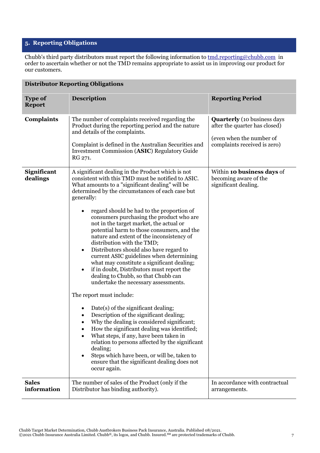## **5. Reporting Obligations**

Chubb's third party distributors must report the following information to  $\underline{tmd.reporting@chubb.com}$  in order to ascertain whether or not the TMD remains appropriate to assist us in improving our product for our customers.

| <b>Distributor Reporting Obligations</b> |                                                                                                                                                                                                                                                                                                                                                                                                                                                                                                                                                                                                                                                                                                                                                                                                                                                                                                                                                                                                                                                                                                                                                                                                                                                   |                                                                                                                                 |  |  |
|------------------------------------------|---------------------------------------------------------------------------------------------------------------------------------------------------------------------------------------------------------------------------------------------------------------------------------------------------------------------------------------------------------------------------------------------------------------------------------------------------------------------------------------------------------------------------------------------------------------------------------------------------------------------------------------------------------------------------------------------------------------------------------------------------------------------------------------------------------------------------------------------------------------------------------------------------------------------------------------------------------------------------------------------------------------------------------------------------------------------------------------------------------------------------------------------------------------------------------------------------------------------------------------------------|---------------------------------------------------------------------------------------------------------------------------------|--|--|
| <b>Type of</b><br><b>Report</b>          | <b>Description</b>                                                                                                                                                                                                                                                                                                                                                                                                                                                                                                                                                                                                                                                                                                                                                                                                                                                                                                                                                                                                                                                                                                                                                                                                                                | <b>Reporting Period</b>                                                                                                         |  |  |
| <b>Complaints</b>                        | The number of complaints received regarding the<br>Product during the reporting period and the nature<br>and details of the complaints.<br>Complaint is defined in the Australian Securities and<br><b>Investment Commission (ASIC) Regulatory Guide</b><br>RG 271.                                                                                                                                                                                                                                                                                                                                                                                                                                                                                                                                                                                                                                                                                                                                                                                                                                                                                                                                                                               | <b>Quarterly</b> (10 business days<br>after the quarter has closed)<br>(even when the number of<br>complaints received is zero) |  |  |
| Significant<br>dealings                  | A significant dealing in the Product which is not<br>consistent with this TMD must be notified to ASIC.<br>What amounts to a "significant dealing" will be<br>determined by the circumstances of each case but<br>generally:<br>regard should be had to the proportion of<br>$\bullet$<br>consumers purchasing the product who are<br>not in the target market, the actual or<br>potential harm to those consumers, and the<br>nature and extent of the inconsistency of<br>distribution with the TMD;<br>Distributors should also have regard to<br>$\bullet$<br>current ASIC guidelines when determining<br>what may constitute a significant dealing;<br>if in doubt, Distributors must report the<br>$\bullet$<br>dealing to Chubb, so that Chubb can<br>undertake the necessary assessments.<br>The report must include:<br>Date(s) of the significant dealing;<br>Description of the significant dealing;<br>Why the dealing is considered significant;<br>How the significant dealing was identified;<br>What steps, if any, have been taken in<br>relation to persons affected by the significant<br>dealing;<br>Steps which have been, or will be, taken to<br>$\bullet$<br>ensure that the significant dealing does not<br>occur again. | Within 10 business days of<br>becoming aware of the<br>significant dealing.                                                     |  |  |
| <b>Sales</b><br>information              | The number of sales of the Product (only if the<br>Distributor has binding authority).                                                                                                                                                                                                                                                                                                                                                                                                                                                                                                                                                                                                                                                                                                                                                                                                                                                                                                                                                                                                                                                                                                                                                            | In accordance with contractual<br>arrangements.                                                                                 |  |  |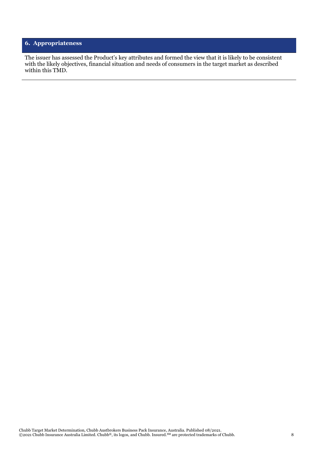## **6. Appropriateness**

The issuer has assessed the Product's key attributes and formed the view that it is likely to be consistent with the likely objectives, financial situation and needs of consumers in the target market as described within this TMD.